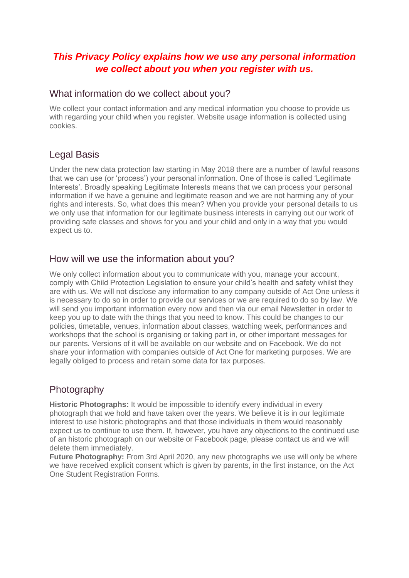# *This Privacy Policy explains how we use any personal information we collect about you when you register with us.*

#### What information do we collect about you?

We collect your contact information and any medical information you choose to provide us with regarding your child when you register. Website usage information is collected using cookies.

## Legal Basis

Under the new data protection law starting in May 2018 there are a number of lawful reasons that we can use (or 'process') your personal information. One of those is called 'Legitimate Interests'. Broadly speaking Legitimate Interests means that we can process your personal information if we have a genuine and legitimate reason and we are not harming any of your rights and interests. So, what does this mean? When you provide your personal details to us we only use that information for our legitimate business interests in carrying out our work of providing safe classes and shows for you and your child and only in a way that you would expect us to.

#### How will we use the information about you?

We only collect information about you to communicate with you, manage your account, comply with Child Protection Legislation to ensure your child's health and safety whilst they are with us. We will not disclose any information to any company outside of Act One unless it is necessary to do so in order to provide our services or we are required to do so by law. We will send you important information every now and then via our email Newsletter in order to keep you up to date with the things that you need to know. This could be changes to our policies, timetable, venues, information about classes, watching week, performances and workshops that the school is organising or taking part in, or other important messages for our parents. Versions of it will be available on our website and on Facebook. We do not share your information with companies outside of Act One for marketing purposes. We are legally obliged to process and retain some data for tax purposes.

## **Photography**

**Historic Photographs:** It would be impossible to identify every individual in every photograph that we hold and have taken over the years. We believe it is in our legitimate interest to use historic photographs and that those individuals in them would reasonably expect us to continue to use them. If, however, you have any objections to the continued use of an historic photograph on our website or Facebook page, please contact us and we will delete them immediately.

**Future Photography:** From 3rd April 2020, any new photographs we use will only be where we have received explicit consent which is given by parents, in the first instance, on the Act One Student Registration Forms.